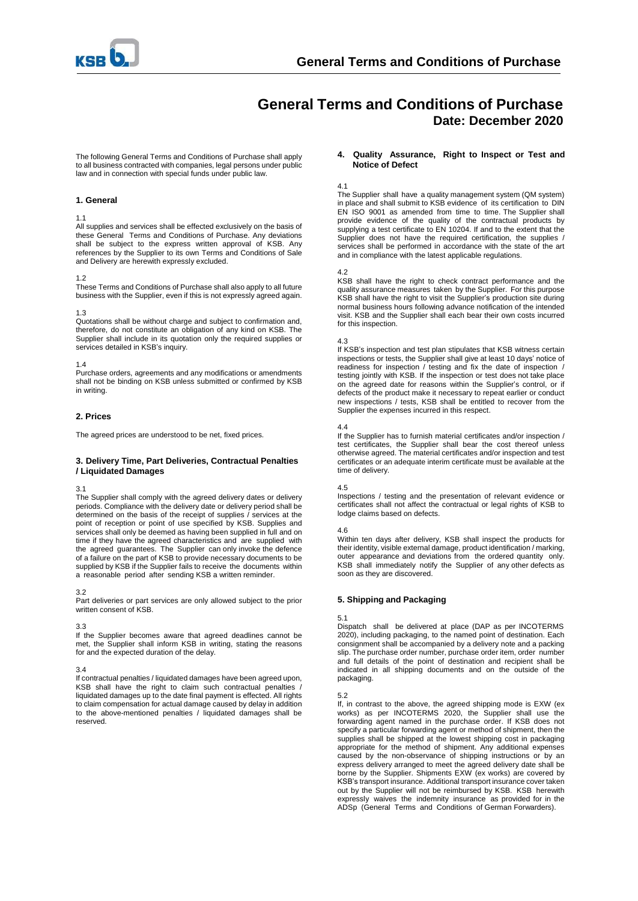

# **General Terms and Conditions of Purchase Date: December 2020**

The following General Terms and Conditions of Purchase shall apply to all business contracted with companies, legal persons under public law and in connection with special funds under public law.

#### **1. General**

#### 1.1

All supplies and services shall be effected exclusively on the basis of these General Terms and Conditions of Purchase. Any deviations shall be subject to the express written approval of KSB. Any references by the Supplier to its own Terms and Conditions of Sale and Delivery are herewith expressly excluded.

#### 1.2

These Terms and Conditions of Purchase shall also apply to all future business with the Supplier, even if this is not expressly agreed again.

## 1.3

Quotations shall be without charge and subject to confirmation and, therefore, do not constitute an obligation of any kind on KSB. The Supplier shall include in its quotation only the required supplies or services detailed in KSB's inquiry.

## 1.4

Purchase orders, agreements and any modifications or amendments shall not be binding on KSB unless submitted or confirmed by KSB in writing.

## **2. Prices**

The agreed prices are understood to be net, fixed prices.

## **3. Delivery Time, Part Deliveries, Contractual Penalties / Liquidated Damages**

#### 3.1

The Supplier shall comply with the agreed delivery dates or delivery periods. Compliance with the delivery date or delivery period shall be determined on the basis of the receipt of supplies / services at the point of reception or point of use specified by KSB. Supplies and services shall only be deemed as having been supplied in full and on time if they have the agreed characteristics and are supplied with the agreed guarantees. The Supplier can only invoke the defence of a failure on the part of KSB to provide necessary documents to be supplied by KSB if the Supplier fails to receive the documents within a reasonable period after sending KSB a written reminder.

## 3.2

Part deliveries or part services are only allowed subject to the prior written consent of KSB.

## 3.3

If the Supplier becomes aware that agreed deadlines cannot be met, the Supplier shall inform KSB in writing, stating the reasons for and the expected duration of the delay.

## 3.4

If contractual penalties / liquidated damages have been agreed upon, KSB shall have the right to claim such contractual penalties liquidated damages up to the date final payment is effected. All rights to claim compensation for actual damage caused by delay in addition to the above-mentioned penalties / liquidated damages shall be reserved.

#### **4. Quality Assurance, Right to Inspect or Test and Notice of Defect**

## 4.1

The Supplier shall have a quality management system (QM system) in place and shall submit to KSB evidence of its certification to DIN EN ISO 9001 as amended from time to time. The Supplier shall provide evidence of the quality of the contractual products by supplying a test certificate to EN 10204. If and to the extent that the Supplier does not have the required certification, the supplies / services shall be performed in accordance with the state of the art and in compliance with the latest applicable regulations.

## 4.2

KSB shall have the right to check contract performance and the quality assurance measures taken by the Supplier. For this purpose KSB shall have the right to visit the Supplier's production site during normal business hours following advance notification of the intended visit. KSB and the Supplier shall each bear their own costs incurred for this inspection.

## 4.3

If KSB's inspection and test plan stipulates that KSB witness certain inspections or tests, the Supplier shall give at least 10 days' notice of readiness for inspection / testing and fix the date of inspection / testing jointly with KSB. If the inspection or test does not take place on the agreed date for reasons within the Supplier's control, or if defects of the product make it necessary to repeat earlier or conduct new inspections / tests, KSB shall be entitled to recover from the Supplier the expenses incurred in this respect.

## 4.4

If the Supplier has to furnish material certificates and/or inspection / test certificates, the Supplier shall bear the cost thereof unless otherwise agreed. The material certificates and/or inspection and test certificates or an adequate interim certificate must be available at the time of delivery.

#### 4.5

Inspections / testing and the presentation of relevant evidence or certificates shall not affect the contractual or legal rights of KSB to lodge claims based on defects.

## 4.6

Within ten days after delivery, KSB shall inspect the products for their identity, visible external damage, product identification / marking, outer appearance and deviations from the ordered quantity only. KSB shall immediately notify the Supplier of any other defects as soon as they are discovered.

## **5. Shipping and Packaging**

## 5.1

Dispatch shall be delivered at place (DAP as per INCOTERMS 2020), including packaging, to the named point of destination. Each consignment shall be accompanied by a delivery note and a packing slip. The purchase order number, purchase order item, order number and full details of the point of destination and recipient shall be indicated in all shipping documents and on the outside of the packaging.

## 5.2

If, in contrast to the above, the agreed shipping mode is EXW (ex works) as per INCOTERMS 2020, the Supplier shall use the forwarding agent named in the purchase order. If KSB does not specify a particular forwarding agent or method of shipment, then the supplies shall be shipped at the lowest shipping cost in packaging appropriate for the method of shipment. Any additional expenses caused by the non-observance of shipping instructions or by an express delivery arranged to meet the agreed delivery date shall be borne by the Supplier. Shipments EXW (ex works) are covered by KSB's transport insurance. Additional transport insurance cover taken out by the Supplier will not be reimbursed by KSB. KSB herewith expressly waives the indemnity insurance as provided for in the ADSp (General Terms and Conditions of German Forwarders).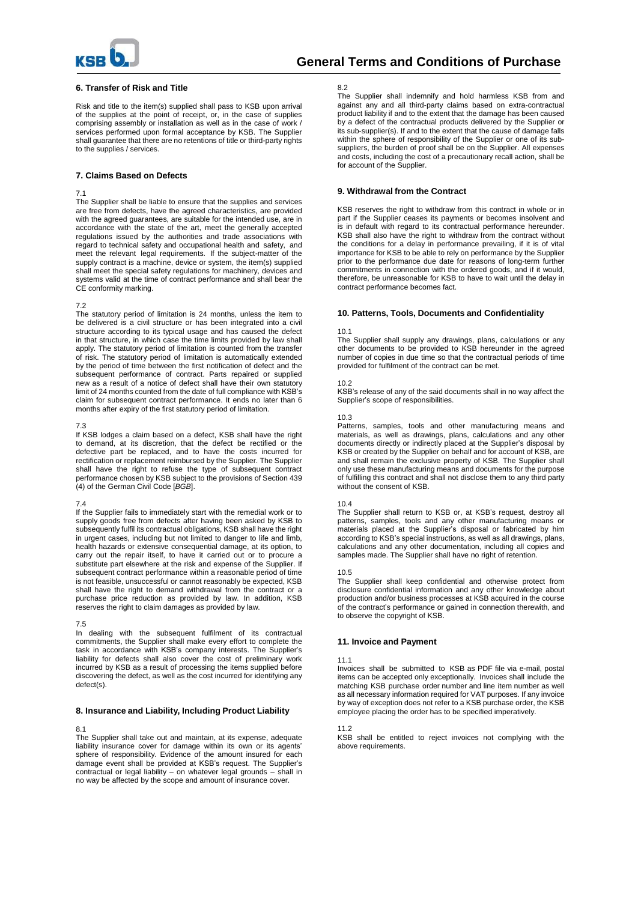

## **6. Transfer of Risk and Title**

Risk and title to the item(s) supplied shall pass to KSB upon arrival of the supplies at the point of receipt, or, in the case of supplies comprising assembly or installation as well as in the case of work / services performed upon formal acceptance by KSB. The Supplier shall guarantee that there are no retentions of title or third-party rights to the supplies / services.

## **7. Claims Based on Defects**

#### 7.1

The Supplier shall be liable to ensure that the supplies and services are free from defects, have the agreed characteristics, are provided with the agreed guarantees, are suitable for the intended use, are in accordance with the state of the art, meet the generally accepted regulations issued by the authorities and trade associations with regard to technical safety and occupational health and safety, and meet the relevant legal requirements. If the subject-matter of the supply contract is a machine, device or system, the item(s) supplied shall meet the special safety regulations for machinery, devices and systems valid at the time of contract performance and shall bear the CE conformity marking.

#### 7.2

The statutory period of limitation is 24 months, unless the item to be delivered is a civil structure or has been integrated into a civil structure according to its typical usage and has caused the defect in that structure, in which case the time limits provided by law shall apply. The statutory period of limitation is counted from the transfer of risk. The statutory period of limitation is automatically extended by the period of time between the first notification of defect and the subsequent performance of contract. Parts repaired or supplied new as a result of a notice of defect shall have their own statutory limit of 24 months counted from the date of full compliance with KSB's claim for subsequent contract performance. It ends no later than 6 months after expiry of the first statutory period of limitation.

## 7.3

If KSB lodges a claim based on a defect, KSB shall have the right to demand, at its discretion, that the defect be rectified or the defective part be replaced, and to have the costs incurred for rectification or replacement reimbursed by the Supplier. The Supplier shall have the right to refuse the type of subsequent contract performance chosen by KSB subject to the provisions of Section 439 (4) of the German Civil Code [*BGB*].

#### 7.4

If the Supplier fails to immediately start with the remedial work or to supply goods free from defects after having been asked by KSB to subsequently fulfil its contractual obligations, KSB shall have the right in urgent cases, including but not limited to danger to life and limb, health hazards or extensive consequential damage, at its option, to carry out the repair itself, to have it carried out or to procure a substitute part elsewhere at the risk and expense of the Supplier. If subsequent contract performance within a reasonable period of time is not feasible, unsuccessful or cannot reasonably be expected, KSB shall have the right to demand withdrawal from the contract or a purchase price reduction as provided by law. In addition, KSB reserves the right to claim damages as provided by law.

#### 7.5

In dealing with the subsequent fulfilment of its contractual commitments, the Supplier shall make every effort to complete the task in accordance with KSB's company interests. The Supplier's liability for defects shall also cover the cost of preliminary work incurred by KSB as a result of processing the items supplied before discovering the defect, as well as the cost incurred for identifying any defect(s).

#### **8. Insurance and Liability, Including Product Liability**

## 8.1

The Supplier shall take out and maintain, at its expense, adequate liability insurance cover for damage within its own or its agents' sphere of responsibility. Evidence of the amount insured for each damage event shall be provided at KSB's request. The Supplier's contractual or legal liability – on whatever legal grounds – shall in no way be affected by the scope and amount of insurance cover.

#### 8.2

The Supplier shall indemnify and hold harmless KSB from and against any and all third-party claims based on extra-contractual product liability if and to the extent that the damage has been caused by a defect of the contractual products delivered by the Supplier or its sub-supplier(s). If and to the extent that the cause of damage falls within the sphere of responsibility of the Supplier or one of its subsuppliers, the burden of proof shall be on the Supplier. All expenses and costs, including the cost of a precautionary recall action, shall be for account of the Supplier.

#### **9. Withdrawal from the Contract**

KSB reserves the right to withdraw from this contract in whole or in part if the Supplier ceases its payments or becomes insolvent and is in default with regard to its contractual performance hereunder. KSB shall also have the right to withdraw from the contract without the conditions for a delay in performance prevailing, if it is of vital importance for KSB to be able to rely on performance by the Supplier prior to the performance due date for reasons of long-term further commitments in connection with the ordered goods, and if it would, therefore, be unreasonable for KSB to have to wait until the delay in contract performance becomes fact.

## **10. Patterns, Tools, Documents and Confidentiality**

#### 10.1

The Supplier shall supply any drawings, plans, calculations or any other documents to be provided to KSB hereunder in the agreed number of copies in due time so that the contractual periods of time provided for fulfilment of the contract can be met.

#### 10.2

KSB's release of any of the said documents shall in no way affect the Supplier's scope of responsibilities.

#### 10.3

Patterns, samples, tools and other manufacturing means and materials, as well as drawings, plans, calculations and any other documents directly or indirectly placed at the Supplier's disposal by KSB or created by the Supplier on behalf and for account of KSB, are and shall remain the exclusive property of KSB. The Supplier shall only use these manufacturing means and documents for the purpose of fulfilling this contract and shall not disclose them to any third party without the consent of KSB.

#### 10.4

The Supplier shall return to KSB or, at KSB's request, destroy all patterns, samples, tools and any other manufacturing means or materials placed at the Supplier's disposal or fabricated by him according to KSB's special instructions, as well as all drawings, plans, calculations and any other documentation, including all copies and samples made. The Supplier shall have no right of retention.

#### 10.5

The Supplier shall keep confidential and otherwise protect from disclosure confidential information and any other knowledge about production and/or business processes at KSB acquired in the course of the contract's performance or gained in connection therewith, and to observe the copyright of KSB.

#### **11. Invoice and Payment**

#### 11.1

Invoices shall be submitted to KSB as PDF file via e-mail, postal items can be accepted only exceptionally. Invoices shall include the matching KSB purchase order number and line item number as well as all necessary information required for VAT purposes. If any invoice by way of exception does not refer to a KSB purchase order, the KSB employee placing the order has to be specified imperatively.

#### 11.2

KSB shall be entitled to reject invoices not complying with the above requirements.